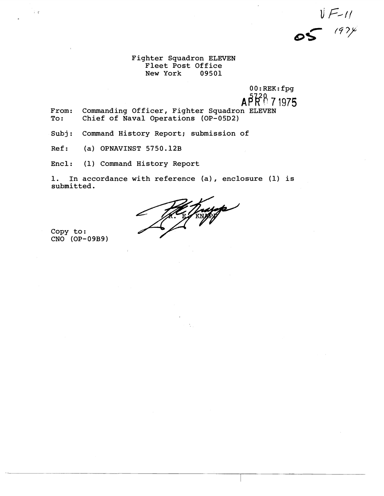$V = 11$ 

Fighter Squadron ELEVEN Fleet Post Office<br>New York 09501 New York

> 0O:REK:fpg **A?#P** 7 1975

- From: Commanding Officer, Fighter Squadron ELEVEN<br>To: Chief of Naval Operations (OP-05D2) Chief of Naval Operations (OP-05D2)
- Subj: Command History Report; sulbmission of
- Ref: (a) OPNAVINST 5750.12B
- Encl: (1) Command History Report

1. In accordance with reference {a), enclosure (1) is submitted.

Trajate

Copy to: CNO (OP-09B9)

 $\pm$  0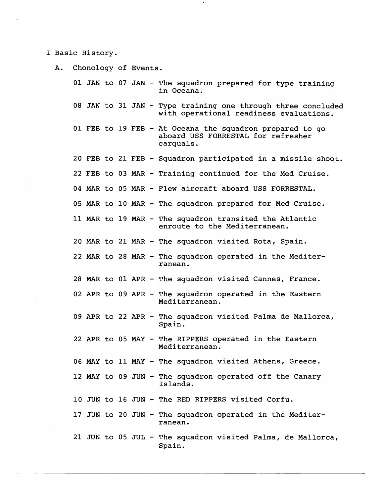I Basic History.

A. Chonology of Events. 01 JAN to 07 JAN - The squadron prepared for type training in Oceana. 08 JAN to 31 JAN - Type training one through three concluded with operational readiness evaluations. 01 FEB to 19 FEB - At Oceana the squadron prepared to go aboard USS FORRESTAL for refresher carquals. 20 FEB to 21 FEB - Squadron participated in a missile shoot. 22 FEB to 03 MAR - Training continued for the Med Cruise. 04 MAR to 05 MAR - Flew aircraft aboard USS FORRESTAL. 05 MAR to 10 MAR - The squadron prepared for Med Cruise. 11 MAR to 19 MAR - The squadron transited the Atlantic enroute to the Mediterranean. 20 MAR to 21 MAR - The squadron visited Rota, Spain. 22 MAR to 28 MAR - The squadron operated in the Mediterranean. 28 MAR to 01 APR - The squadron visited Cannes, France. 02 APR to 09 APR - The squadron operated in the Eastern Mediterranean. 09 APR to 22 APR - The squadron visited Palma de Mallorca, Spain. 22 APR to 05 MAY - The RIPPEIkS operated in the Eastern Mediterranean. 06 MAY to 11 MAY - The squadron visited Athens, Greece. 12 MAY to 09 JUN - The squadron operated off the Canary Islands. 10 JUN to 16 JUN - The RED RIPPERS visited Corfu. 17 JUN to 20 JUN - The squadron operated in the Mediterranean. 21 JUN to 05 JUL - The squadron visited Palma, de Mallorca, Spain.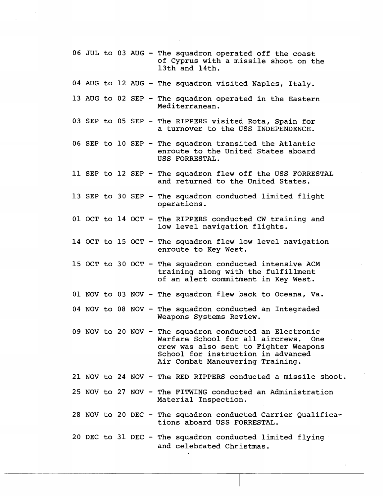- 06 JUL to 03 AUG The squadron operated off the coast of Cyprus with a missile shoot on the 13th and 14th.
- 04 AUG to 12 AUG The squadron visited Naples, Italy.
- 13 AUG to 02 SEP The squadron operated in the Eastern Mediterranean.
- 03 SEP to 05 SEP The RIPPERS visited Rota, Spain for a turnover to the USS INDEPENDENCE.
- 06 SEP to 10 SEP The squadron transited the Atlantic enroute to the United States aboard USS FORRESTAL.
- 11 SEP to 12 SEP The squadron flew off the USS FORRESTAL and returned to the United States.
- 13 SEP to 30 SEP The squadron conducted limited flight operations.
- 01 OCT to 14 OCT The RIPPERS conducted CW training and low level navigation flights.
- 14 OCT to 15 OCT The squadron flew low level navigation enroute to Key West.
- 15 OCT to 30 OCT The squadron conducted intensive ACM training along with the fulfillment of an alert commitment in Key West.
- 01 NOV to 03 NOV The squadron flew back to Oceana, Va.
- 04 NOV to 08 NOV The squadron conducted an Integraded Weapons Systems Review.
- 09 NOV to 20 NOV The squadron conducted an Electronic Warfare School for all aircrews. crew was also sent to Fighter Weapons School for instruction in advanced Air Combat Maneuvering Training.
- 21 NOV to 24 NOV The RED RfPPERS conducted a missile shoot.
- $25$  NOV to  $27$  NOV The FITWING conducted an Administration Material Inspection.
- 28 NOV to 20 DEC The squadron conducted Carrier Qualifications aboard USS FORRESTAL.

 $\lambda$ 

20 DEC to 31 DEC - The squadron conducted limited flying and celebrated Christmas.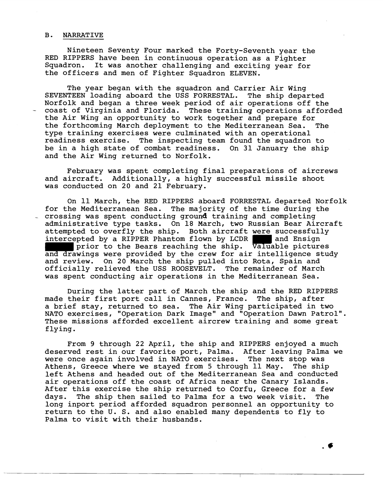## B. NARRATIVE

Nineteen Seventy Four marked the Forty-Seventh year the RED RIPPERS have been in continuous operation as a Fighter Squadron. It was another challenging and exciting year for the officers and men of Fighter Squadron ELEVEN.

The year began with the squadron and Carrier Air Wing SEVENTEEN loading aboard the USS FORRESTAL. The ship departed Norfolk and began a three week period of air operations off the - coast of Virginia and Florida. These training operations afforded the Air Wing an opportunity to work together and prepare for the forthcoming March deployment to the Mediterranean Sea. The type training exercises were culminated with an operational readiness exercise. The inspecting team found the squadron to be in a high state of combat readiness. On 31 January the ship and the Air Wing returned to Norfolk.

February was spent completing final preparations of aircrews and aircraft. Additionally, a highly successful missile shoot was conducted on 20 and 21 February.

On 11 March, the RED RIPPERS aboard FORRESTAL departed Norfolk for the Mediterranean Sea. The majority of the time during the crossing was spent conducting ground training and completing administrative type tasks. On 18 March, two Russian Bear Aircraft attempted to overfly the ship. Both aircraft were successfully intercepted by a RIPPER Phantom flown by LCDR and Ensign intercepted by a RIPPER Phantom flown by LCDR prior to the Bears reaching the ship. Valuable pictures and drawings were provided by the crew for air intelligence study and review. On 20 March the ship pulled into Rota, Spain and officially relieved the USS ROOSEVELT. The remainder of March was spent conducting air operations in the Mediterranean Sea.

During the latter part of March the ship and the RED RIPPERS made their first port call in Cannes, France. The ship, after a brief stay, returned to sea. The Air Wing participated in two NATO exercises, "Operation Dark Image" and "Operation Dawn Patrol". These missions afforded excellent aircrew training and some great flying.

From 9 through 22 April, the ship and RIPPERS enjoyed a much deserved rest in our favorite port, Palma. After leaving Palma we were once again involved in NATO exercises. The next stop was Athens, Greece where we stayed from 5 through 11 May. The ship left Athens and headed out of the Mediterranean Sea and conducted air operations off the coast of Africa near the Canary Islands. After this exercise the ship returned to Corfu, Greece for a few days. The ship then sailed to Palma for a two week visit. The long inport period afforded squadron personnel an opportunity to return to the U. S. and also enabled many dependents to fly to Palma to visit with their husbands.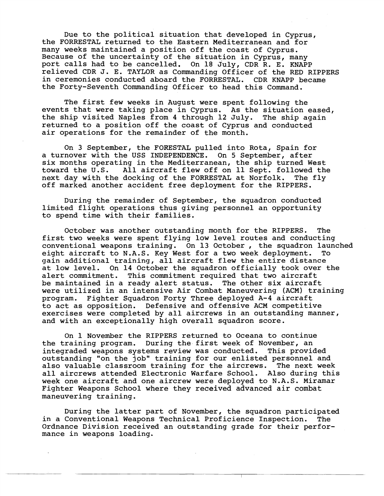Due to the political situation that developed in Cyprus, the FORRESTAL returned to the Eastetn Mediterranean and for many weeks maintained a position off the coast of Cyprus. Because of the uncertainty of the situation in Cyprus, many port calls had to be cancelled. On 18 July, CDR R. E. KNAPP relieved CDR J. E. TAYLOR as Commanding Officer of the RED RIPPERS in ceremonies conducted aboard the FORRESTAL. CDR KNAPP became the Forty-Seventh Commanding Officer to head this Command.

The first few weeks in August were spent following the events that were taking place in Cyprus. As the situation eased, the ship visited Naples from 4 through 12 July. The ship again returned to a position off the coast of Cyprus and conducted air operations for the remainder of the month.

On 3 September, the FORESTAL pulled into Rota, Spain for a turnover with the USS INDEPENDENCE. On 5 September, after six months operating in the Mediterranean, the ship turned West<br>toward the U.S. All aircraft flew off on 11 Sept. followed the All aircraft flew off on 11 Sept. followed the next day with the docking of the FORRESTAL at Norfolk. The fly off marked another accident free deployment for the RIPPERS.

During the remainder of September, the squadron conducted limited flight operations thus giving personnel an opportunity to spend time with their families.

October was another outstanding month for the RIPPERS. The first two weeks were spent flying low level routes and conducting conventional weapons training. On 13 October, the squadron launched<br>eight aircraft to N.A.S. Key West for a two week deployment. To eight aircraft to N.A.S. Key West for a two week deployment. gain additional training, all aircraft flew the entire distance at low level. On 14 October the squadron officially took over the alert commitment. This commitment required that two aircraft be maintained in a ready alert status. The other six aircraft were utilized in an intensive Air Combat Maneuvering (ACM) training program. Fighter Squadron Forty Three deployed A-4 aircraft to act as opposition. Defensive and offensive ACM competitive exercises were completed by all aircrews in an outstanding manner, and with an exceptionally high overall squadron score.

On 1 November the RIPPERS returned to Oceana to continue the training program. During the first week of November, an integraded weapons systems review was conducted. This provided outstanding "on the job" training for our enlisted personnel and also valuable classroom training for the aircrews. The next week all aircrews attended Electronic Warfare School. Also during this week one aircraft and one aircrew were deployed to N.A.S. Miramar Fighter Weapons School where they received advanced air combat maneuvering training.

During the latter part of November, the squadron participated in a Conventional Weapons Technical Proficience Inspection. The Ordnance Division received an outstanding grade for their performance in weapons loading.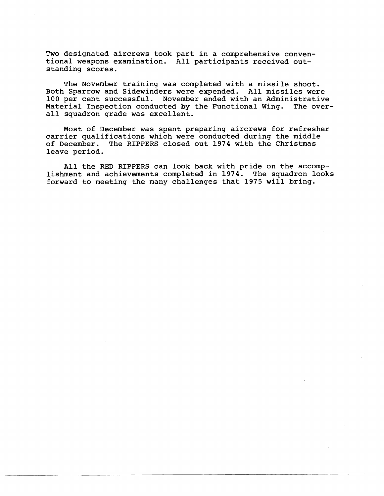Two designated aircrews took part in a comprehensive conventional weapons examination. All participants received outstanding scores.

The November training was completed with a missile shoot. Both Sparrow and Sidewinders were expended. All missiles were 100 per cent successful. November ended with an Administrative Material Inspection conducted by the Functional Wing. The overall squadron grade was excellent.

Most of December was spent preparing aircrews for refresher carrier qualifications which were conducted during the middle of December. The RIPPERS closed out 1974 with the Christmas leave period.

All the RED RIPPERS can look back with pride on the accomplishment and achievements completed in 1974. The squadron looks forward to meeting the many challemges that 1975 will bring.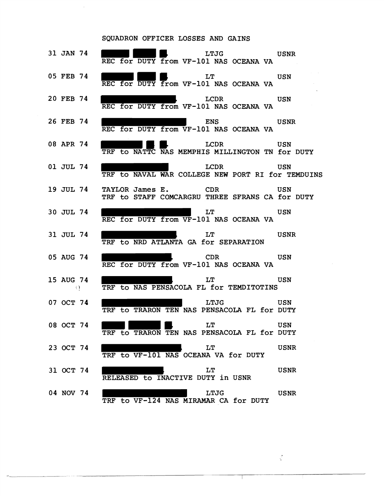## SQUADRON OFFICER LOSSES AND GAINS

 $\hat{\mathcal{A}}$ 

| 31 JAN 74 | LTJG USNR<br>REC for DUTY from VF-101 NAS OCEANA VA                              |             |
|-----------|----------------------------------------------------------------------------------|-------------|
| 05 FEB 74 | <b>LT USN</b><br>REC for DUTY from VF-101 NAS OCEANA VA                          |             |
| 20 FEB 74 | LCDR USN<br>REC for DUTY from VF-101 NAS OCEANA VA                               |             |
| 26 FEB 74 | <b>ENS</b> USNR<br>REC for DUTY from VF-101 NAS OCEANA VA                        |             |
| 08 APR 74 | LCDR USN<br>TRF to NATTC NAS MEMPHIS MILLINGTON TN for DUTY                      |             |
| 01 JUL 74 | LCDR USN<br>TRF to NAVAL WAR COLLEGE NEW PORT RI for TEMDUINS                    |             |
|           | 19 JUL 74 TAYLOR James E. CDR<br>TRF to STAFF COMCARGRU THREE SFRANS CA for DUTY | USN         |
| 30 JUL 74 | LT USN<br>REC for DUTY from VF-101 NAS OCEANA VA                                 |             |
| 31 JUL 74 | <b>LT</b><br>TRF to NRD ATLANTA GA for SEPARATION                                | USNR        |
| 05 AUG 74 | <b>CDR CDR</b><br>REC for DUTY from VF-101 NAS OCEANA VA                         | USN         |
| 15 AUG 74 | <b>LT</b><br>O TRF to NAS PENSACOLA FL for TEMDITOTINS                           | USN         |
| 07 OCT 74 | <b>LTJG USN</b><br>TRF to TRARON TEN NAS PENSACOLA FL for DUTY                   |             |
| 08 OCT 74 | $\mathbf{L}\mathbf{T}$<br>TRF to TRARON TEN NAS PENSACOLA FL for DUTY            | USN         |
| 23 OCT 74 | LT<br>TRF to VF-101 NAS OCEANA VA for DUTY                                       | <b>USNR</b> |
| 31 OCT 74 | LT<br>RELEASED to INACTIVE DUTY in USNR                                          | <b>USNR</b> |
| 04 NOV 74 | <b>LTJG</b><br>TRF to VF-124 NAS MIRAMAR CA for DUTY                             | <b>USNR</b> |

 $\frac{1}{2}$ 

T

 $\mathcal{A}^{\mathcal{A}}$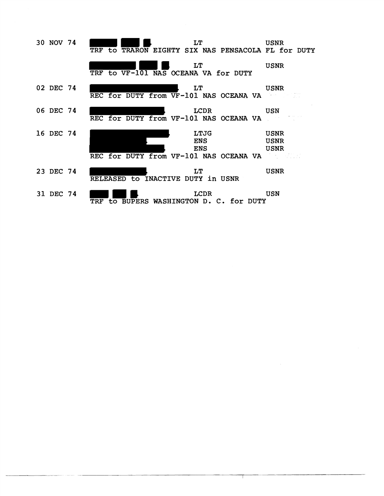